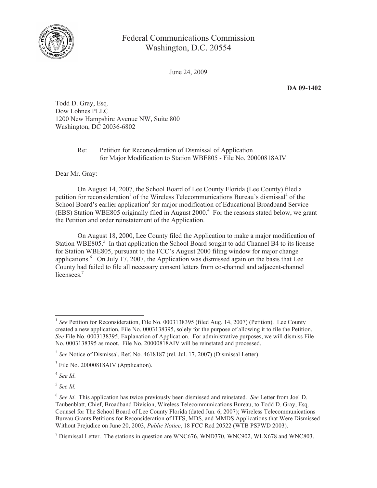

## Federal Communications Commission Washington, D.C. 20554

June 24, 2009

**DA 09-1402**

Todd D. Gray, Esq. Dow Lohnes PLLC 1200 New Hampshire Avenue NW, Suite 800 Washington, DC 20036-6802

> Re: Petition for Reconsideration of Dismissal of Application for Major Modification to Station WBE805 - File No. 20000818AIV

Dear Mr. Gray:

On August 14, 2007, the School Board of Lee County Florida (Lee County) filed a petition for reconsideration<sup>1</sup> of the Wireless Telecommunications Bureau's dismissal<sup>2</sup> of the School Board's earlier application<sup>3</sup> for major modification of Educational Broadband Service (EBS) Station WBE805 originally filed in August 2000.<sup>4</sup> For the reasons stated below, we grant the Petition and order reinstatement of the Application.

On August 18, 2000, Lee County filed the Application to make a major modification of Station WBE805.<sup>5</sup> In that application the School Board sought to add Channel B4 to its license for Station WBE805, pursuant to the FCC's August 2000 filing window for major change applications.<sup>6</sup> On July 17, 2007, the Application was dismissed again on the basis that Lee County had failed to file all necessary consent letters from co-channel and adjacent-channel licensees.<sup>7</sup>

4 *See Id*.

5 *See Id.* 

<sup>&</sup>lt;sup>1</sup> See Petition for Reconsideration, File No. 0003138395 (filed Aug. 14, 2007) (Petition). Lee County created a new application, File No. 0003138395, solely for the purpose of allowing it to file the Petition. *See* File No. 0003138395, Explanation of Application. For administrative purposes, we will dismiss File No. 0003138395 as moot. File No. 20000818AIV will be reinstated and processed.

<sup>2</sup> *See* Notice of Dismissal, Ref. No. 4618187 (rel. Jul. 17, 2007) (Dismissal Letter).

<sup>&</sup>lt;sup>3</sup> File No. 20000818AIV (Application).

<sup>6</sup> *See Id*. This application has twice previously been dismissed and reinstated. *See* Letter from Joel D. Taubenblatt, Chief, Broadband Division, Wireless Telecommunications Bureau, to Todd D. Gray, Esq. Counsel for The School Board of Lee County Florida (dated Jun. 6, 2007); Wireless Telecommunications Bureau Grants Petitions for Reconsideration of ITFS, MDS, and MMDS Applications that Were Dismissed Without Prejudice on June 20, 2003, *Public Notice*, 18 FCC Rcd 20522 (WTB PSPWD 2003).

 $<sup>7</sup>$  Dismissal Letter. The stations in question are WNC676, WND370, WNC902, WLX678 and WNC803.</sup>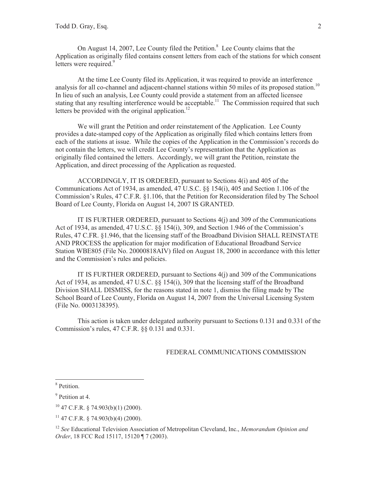On August 14, 2007, Lee County filed the Petition.<sup>8</sup> Lee County claims that the Application as originally filed contains consent letters from each of the stations for which consent letters were required.<sup>9</sup>

At the time Lee County filed its Application, it was required to provide an interference analysis for all co-channel and adjacent-channel stations within 50 miles of its proposed station.<sup>10</sup> In lieu of such an analysis, Lee County could provide a statement from an affected licensee stating that any resulting interference would be acceptable.<sup>11</sup> The Commission required that such letters be provided with the original application.<sup>12</sup>

We will grant the Petition and order reinstatement of the Application. Lee County provides a date-stamped copy of the Application as originally filed which contains letters from each of the stations at issue. While the copies of the Application in the Commission's records do not contain the letters, we will credit Lee County's representation that the Application as originally filed contained the letters. Accordingly, we will grant the Petition, reinstate the Application, and direct processing of the Application as requested.

ACCORDINGLY, IT IS ORDERED, pursuant to Sections 4(i) and 405 of the Communications Act of 1934, as amended, 47 U.S.C. §§ 154(i), 405 and Section 1.106 of the Commission's Rules, 47 C.F.R. §1.106, that the Petition for Reconsideration filed by The School Board of Lee County, Florida on August 14, 2007 IS GRANTED.

IT IS FURTHER ORDERED, pursuant to Sections  $4(i)$  and 309 of the Communications Act of 1934, as amended, 47 U.S.C. §§ 154(i), 309, and Section 1.946 of the Commission's Rules, 47 C.FR. §1.946, that the licensing staff of the Broadband Division SHALL REINSTATE AND PROCESS the application for major modification of Educational Broadband Service Station WBE805 (File No. 20000818AIV) filed on August 18, 2000 in accordance with this letter and the Commission's rules and policies.

IT IS FURTHER ORDERED, pursuant to Sections 4(j) and 309 of the Communications Act of 1934, as amended, 47 U.S.C. §§ 154(i), 309 that the licensing staff of the Broadband Division SHALL DISMISS, for the reasons stated in note 1, dismiss the filing made by The School Board of Lee County, Florida on August 14, 2007 from the Universal Licensing System (File No. 0003138395).

This action is taken under delegated authority pursuant to Sections 0.131 and 0.331 of the Commission's rules, 47 C.F.R. §§ 0.131 and 0.331.

## FEDERAL COMMUNICATIONS COMMISSION

<sup>8</sup> Petition.

<sup>&</sup>lt;sup>9</sup> Petition at 4.

<sup>10</sup> 47 C.F.R. § 74.903(b)(1) (2000).

 $11$  47 C.F.R. § 74.903(b)(4) (2000).

<sup>12</sup> *See* Educational Television Association of Metropolitan Cleveland, Inc., *Memorandum Opinion and Order*, 18 FCC Rcd 15117, 15120 ¶ 7 (2003).